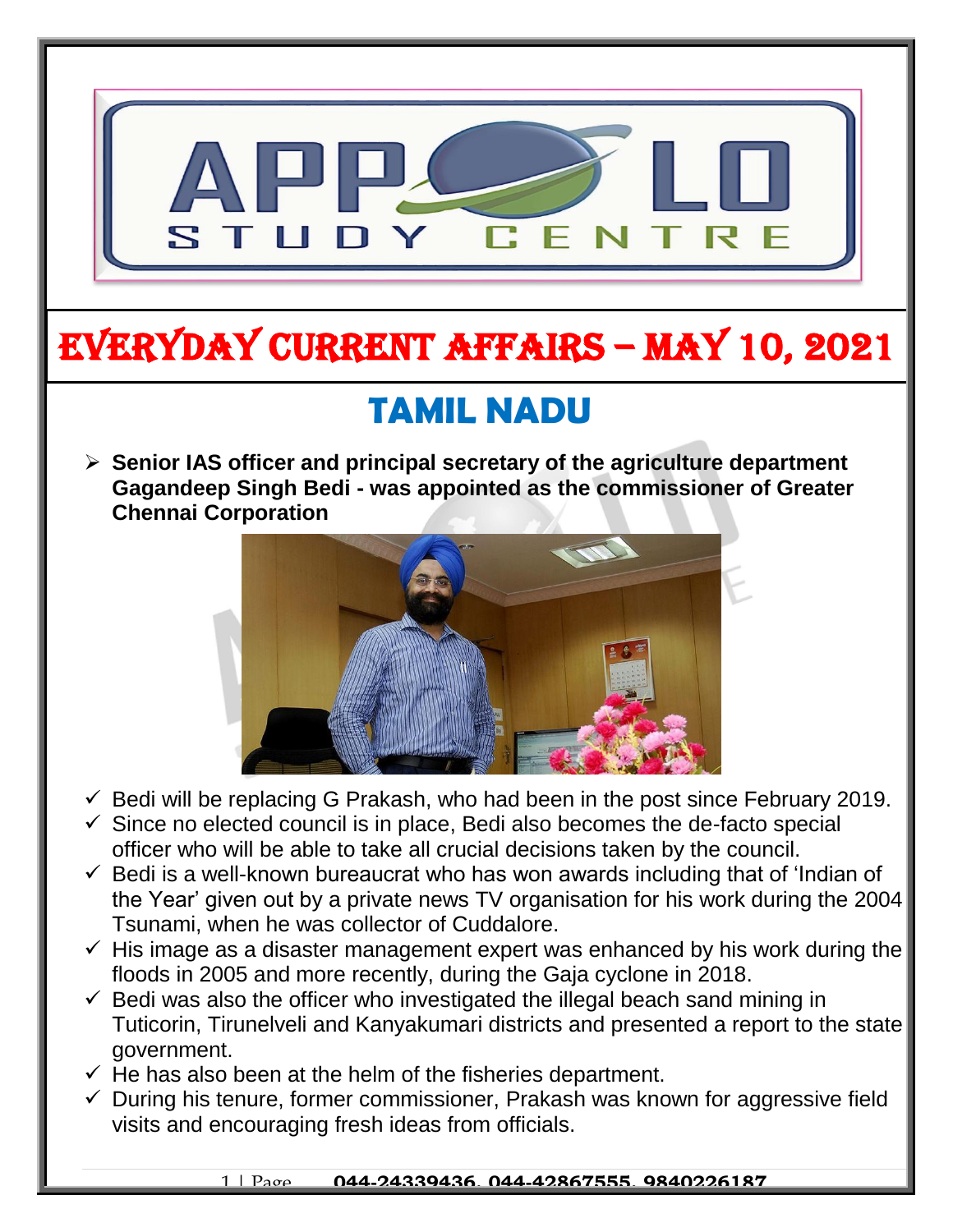

# EVERYDAY CURRENT AFFAIRS – MAY 10, 2021

-

## **TAMIL NADU**

 **Senior IAS officer and principal secretary of the agriculture department Gagandeep Singh Bedi - was appointed as the commissioner of Greater Chennai Corporation**



- $\checkmark$  Bedi will be replacing G Prakash, who had been in the post since February 2019.
- $\checkmark$  Since no elected council is in place, Bedi also becomes the de-facto special officer who will be able to take all crucial decisions taken by the council.
- $\checkmark$  Bedi is a well-known bureaucrat who has won awards including that of 'Indian of the Year' given out by a private news TV organisation for his work during the 2004 Tsunami, when he was collector of Cuddalore.
- $\checkmark$  His image as a disaster management expert was enhanced by his work during the floods in 2005 and more recently, during the Gaja cyclone in 2018.
- $\checkmark$  Bedi was also the officer who investigated the illegal beach sand mining in Tuticorin, Tirunelveli and Kanyakumari districts and presented a report to the state government.
- $\checkmark$  He has also been at the helm of the fisheries department.
- $\checkmark$  During his tenure, former commissioner, Prakash was known for aggressive field visits and encouraging fresh ideas from officials.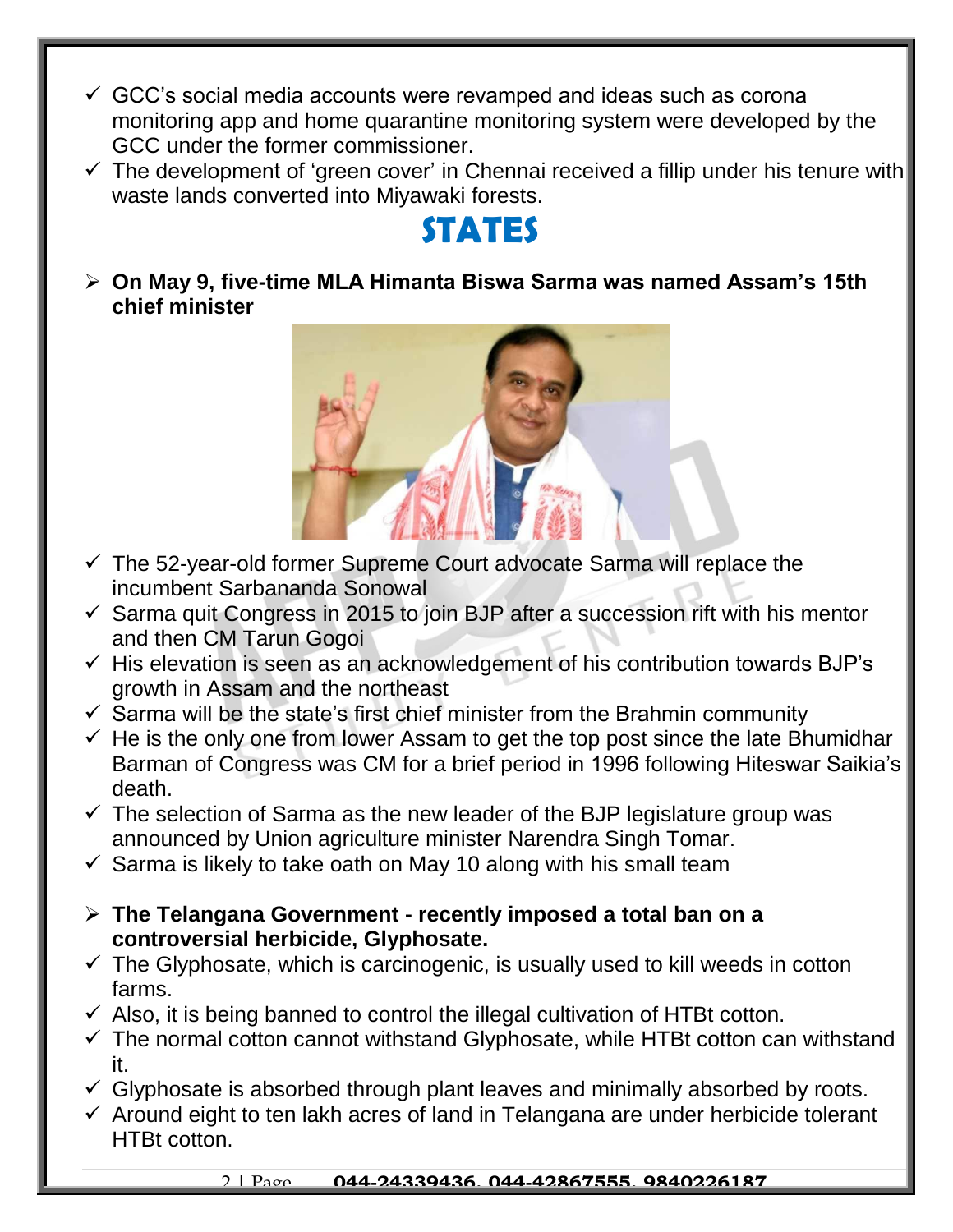- $\checkmark$  GCC's social media accounts were revamped and ideas such as corona monitoring app and home quarantine monitoring system were developed by the GCC under the former commissioner.
- $\checkmark$  The development of 'green cover' in Chennai received a fillip under his tenure with waste lands converted into Miyawaki forests.

### **STATES**

 **On May 9, five-time MLA Himanta Biswa Sarma was named Assam's 15th chief minister** 



- $\checkmark$  The 52-year-old former Supreme Court advocate Sarma will replace the incumbent Sarbananda Sonowal
- $\checkmark$  Sarma quit Congress in 2015 to join BJP after a succession rift with his mentor and then CM Tarun Gogoi
- $\checkmark$  His elevation is seen as an acknowledgement of his contribution towards BJP's growth in Assam and the northeast
- $\checkmark$  Sarma will be the state's first chief minister from the Brahmin community
- $\checkmark$  He is the only one from lower Assam to get the top post since the late Bhumidhar Barman of Congress was CM for a brief period in 1996 following Hiteswar Saikia's death.
- $\checkmark$  The selection of Sarma as the new leader of the BJP legislature group was announced by Union agriculture minister Narendra Singh Tomar.
- $\checkmark$  Sarma is likely to take oath on May 10 along with his small team
- **The Telangana Government - recently imposed a total ban on a controversial herbicide, Glyphosate.**
- $\checkmark$  The Glyphosate, which is carcinogenic, is usually used to kill weeds in cotton farms.
- $\checkmark$  Also, it is being banned to control the illegal cultivation of HTBt cotton.
- $\checkmark$  The normal cotton cannot withstand Glyphosate, while HTBt cotton can withstand it.
- $\checkmark$  Glyphosate is absorbed through plant leaves and minimally absorbed by roots.
- $\checkmark$  Around eight to ten lakh acres of land in Telangana are under herbicide tolerant HTBt cotton.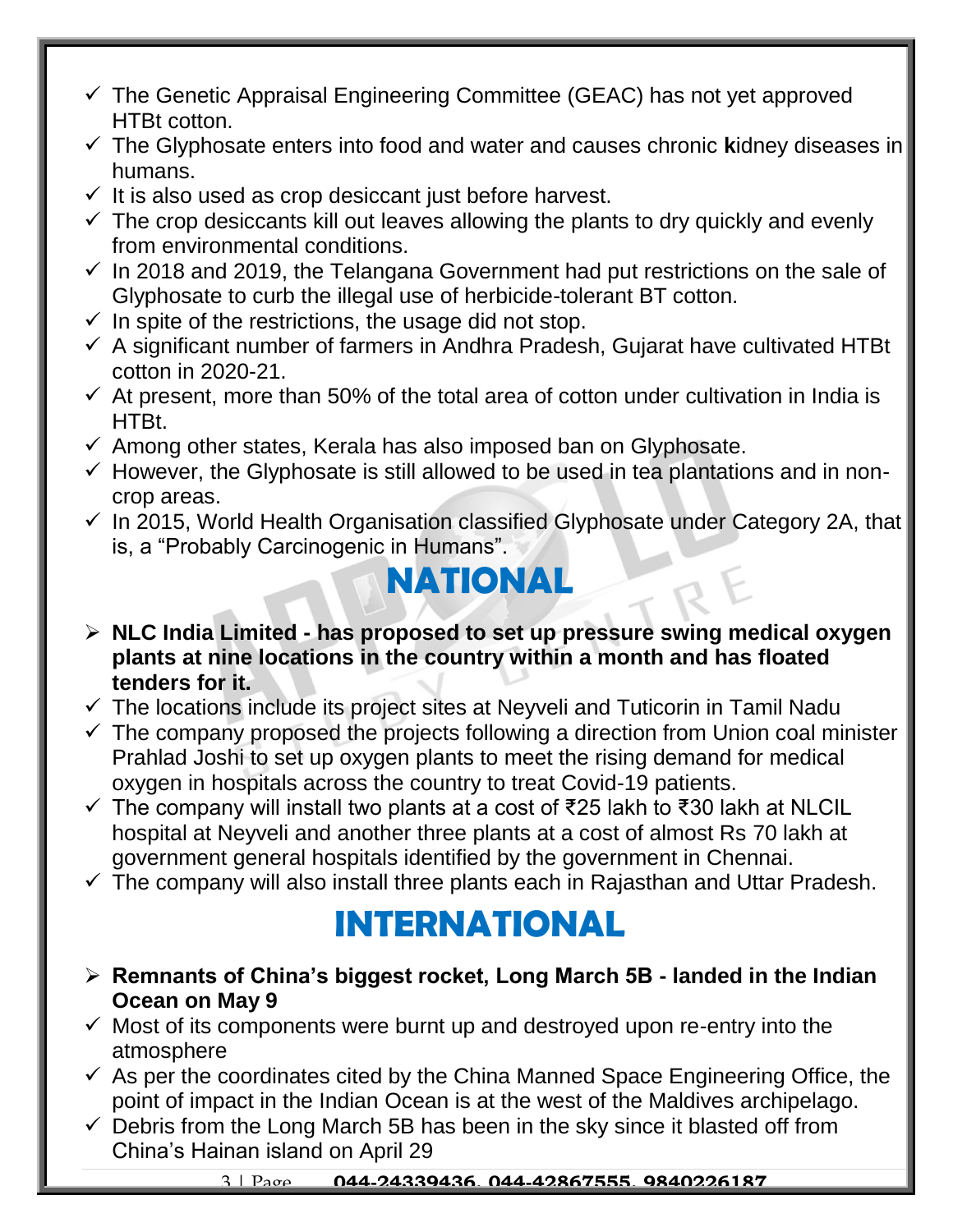- $\checkmark$  The Genetic Appraisal Engineering Committee (GEAC) has not yet approved HTBt cotton.
- The Glyphosate enters into food and water and causes chronic **k**idney diseases in humans.
- $\checkmark$  It is also used as crop desiccant just before harvest.
- $\checkmark$  The crop desiccants kill out leaves allowing the plants to dry quickly and evenly from environmental conditions.
- $\checkmark$  In 2018 and 2019, the Telangana Government had put restrictions on the sale of Glyphosate to curb the illegal use of herbicide-tolerant BT cotton.
- $\checkmark$  In spite of the restrictions, the usage did not stop.
- $\checkmark$  A significant number of farmers in Andhra Pradesh, Gujarat have cultivated HTBt cotton in 2020-21.
- $\checkmark$  At present, more than 50% of the total area of cotton under cultivation in India is HTBt.
- $\checkmark$  Among other states, Kerala has also imposed ban on Glyphosate.
- $\checkmark$  However, the Glyphosate is still allowed to be used in tea plantations and in noncrop areas.
- $\checkmark$  In 2015, World Health Organisation classified Glyphosate under Category 2A, that is, a "Probably Carcinogenic in Humans".

### **NATIONAL**

- **NLC India Limited - has proposed to set up pressure swing medical oxygen plants at nine locations in the country within a month and has floated tenders for it.**
- $\checkmark$  The locations include its project sites at Neyveli and Tuticorin in Tamil Nadu
- $\checkmark$  The company proposed the projects following a direction from Union coal minister Prahlad Joshi to set up oxygen plants to meet the rising demand for medical oxygen in hospitals across the country to treat Covid-19 patients.
- The company will install two plants at a cost of ₹25 lakh to ₹30 lakh at NLCIL hospital at Neyveli and another three plants at a cost of almost Rs 70 lakh at government general hospitals identified by the government in Chennai.
- $\checkmark$  The company will also install three plants each in Rajasthan and Uttar Pradesh.

## **INTERNATIONAL**

- **Remnants of China's biggest rocket, Long March 5B - landed in the Indian Ocean on May 9**
- $\checkmark$  Most of its components were burnt up and destroyed upon re-entry into the atmosphere
- $\checkmark$  As per the coordinates cited by the China Manned Space Engineering Office, the point of impact in the Indian Ocean is at the west of the Maldives archipelago.
- $\checkmark$  Debris from the Long March 5B has been in the sky since it blasted off from China's Hainan island on April 29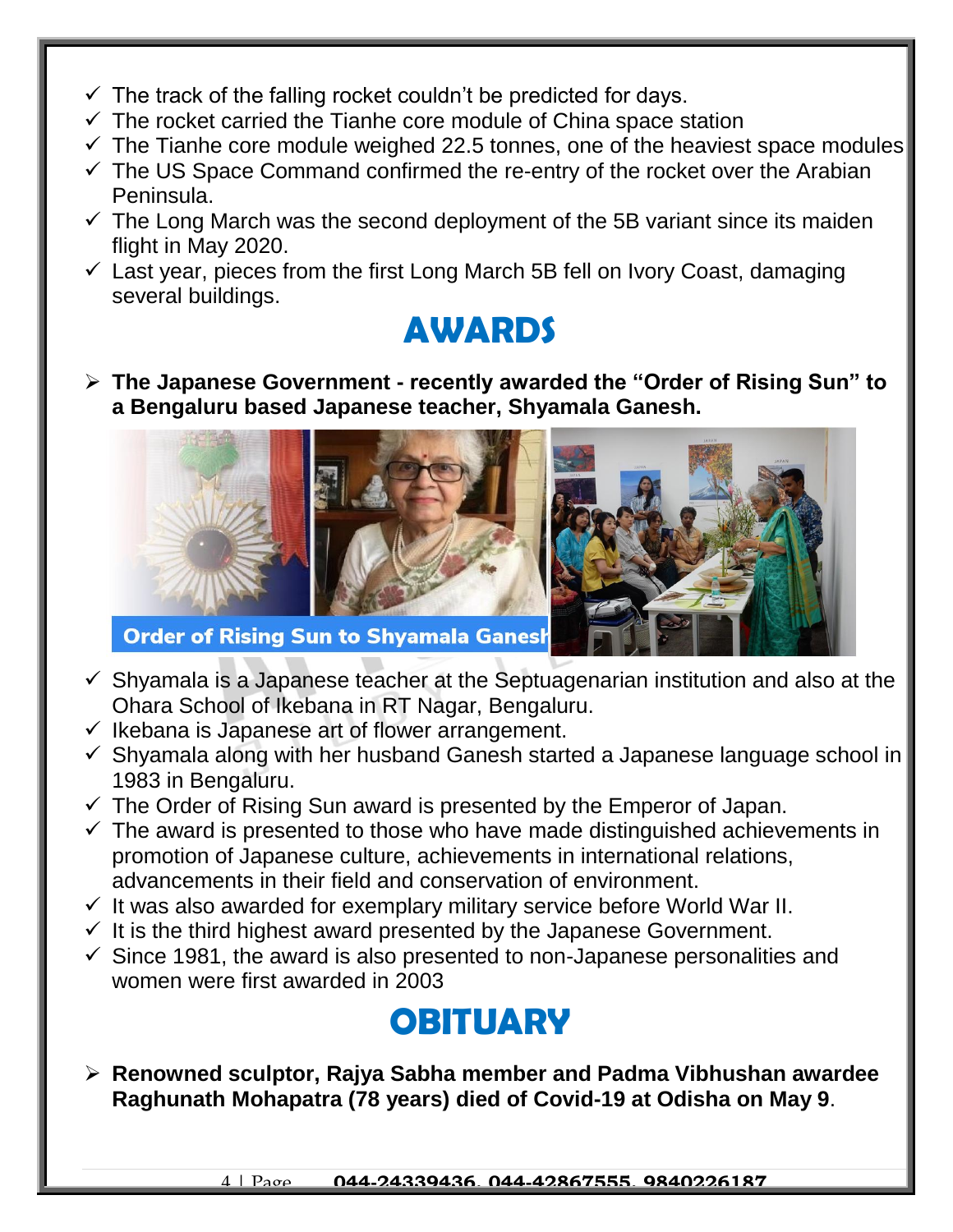- $\checkmark$  The track of the falling rocket couldn't be predicted for days.
- $\checkmark$  The rocket carried the Tianhe core module of China space station
- $\checkmark$  The Tianhe core module weighed 22.5 tonnes, one of the heaviest space modules
- $\checkmark$  The US Space Command confirmed the re-entry of the rocket over the Arabian Peninsula.
- $\checkmark$  The Long March was the second deployment of the 5B variant since its maiden flight in May 2020.
- $\checkmark$  Last year, pieces from the first Long March 5B fell on Ivory Coast, damaging several buildings.

#### **AWARDS**

 **The Japanese Government - recently awarded the "Order of Rising Sun" to a Bengaluru based Japanese teacher, Shyamala Ganesh.**



- $\checkmark$  Shyamala is a Japanese teacher at the Septuagenarian institution and also at the Ohara School of Ikebana in RT Nagar, Bengaluru.
- $\checkmark$  Ikebana is Japanese art of flower arrangement.
- $\checkmark$  Shyamala along with her husband Ganesh started a Japanese language school in 1983 in Bengaluru.
- $\checkmark$  The Order of Rising Sun award is presented by the Emperor of Japan.
- $\checkmark$  The award is presented to those who have made distinguished achievements in promotion of Japanese culture, achievements in international relations, advancements in their field and conservation of environment.
- $\checkmark$  It was also awarded for exemplary military service before World War II.
- $\checkmark$  It is the third highest award presented by the Japanese Government.
- $\checkmark$  Since 1981, the award is also presented to non-Japanese personalities and women were first awarded in 2003

### **OBITUARY**

 **Renowned sculptor, Rajya Sabha member and Padma Vibhushan awardee Raghunath Mohapatra (78 years) died of Covid-19 at Odisha on May 9**.